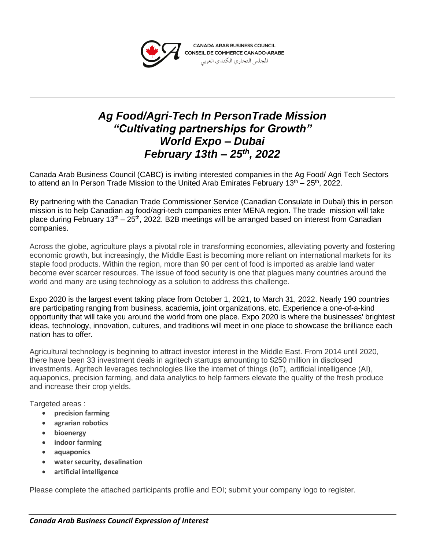

## *Ag Food/Agri-Tech In PersonTrade Mission "Cultivating partnerships for Growth" World Expo – Dubai February 13th – 25th, 2022*

Canada Arab Business Council (CABC) is inviting interested companies in the Ag Food/ Agri Tech Sectors to attend an In Person Trade Mission to the United Arab Emirates February  $13<sup>th</sup> - 25<sup>th</sup>$ , 2022.

By partnering with the Canadian Trade Commissioner Service (Canadian Consulate in Dubai) this in person mission is to help Canadian ag food/agri-tech companies enter MENA region. The trade mission will take place during February  $13<sup>th</sup> - 25<sup>th</sup>$ , 2022. B2B meetings will be arranged based on interest from Canadian companies.

Across the globe, agriculture plays a pivotal role in transforming economies, alleviating poverty and fostering economic growth, but increasingly, the Middle East is becoming more reliant on international markets for its staple food products. Within the region, more than 90 per cent of food is imported as arable land water become ever scarcer resources. The issue of food security is one that plagues many countries around the world and many are using technology as a solution to address this challenge.

Expo 2020 is the largest event taking place from October 1, 2021, to March 31, 2022. Nearly 190 countries are participating ranging from business, academia, joint organizations, etc. Experience a one-of-a-kind opportunity that will take you around the world from one place. Expo 2020 is where the businesses' brightest ideas, technology, innovation, cultures, and traditions will meet in one place to showcase the brilliance each nation has to offer.

Agricultural technology is beginning to attract investor interest in the Middle East. From 2014 until 2020, there have been 33 investment deals in agritech startups amounting to \$250 million in disclosed investments. Agritech leverages technologies like the internet of things (IoT), artificial intelligence (AI), aquaponics, precision farming, and data analytics to help farmers elevate the quality of the fresh produce and increase their crop yields.

Targeted areas :

- **precision farming**
- **agrarian robotics**
- **bioenergy**
- **indoor farming**
- **aquaponics**
- **water security, desalination**
- **artificial intelligence**

Please complete the attached participants profile and EOI; submit your company logo to register.